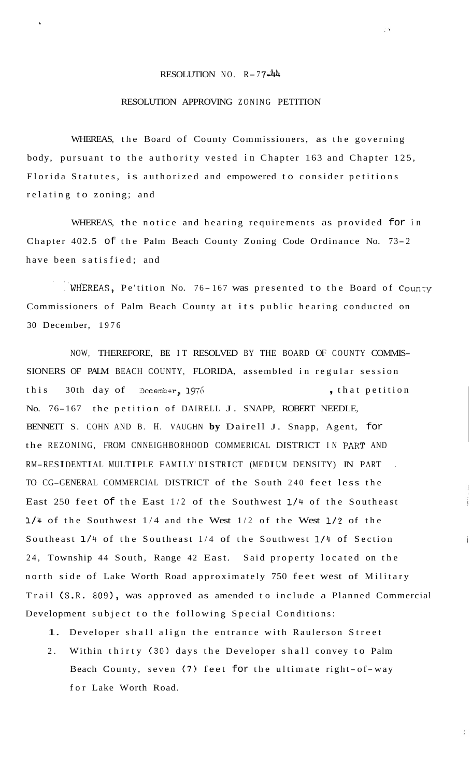## RESOLUTION NO. R-77-44

 $\langle \rangle$ 

**c** 

## RESOLUTION APPROVING ZONING PETITION

WHEREAS, the Board of County Commissioners, as the governing body, pursuant to the authority vested in Chapter 163 and Chapter 125, Florida Statutes, is authorized and empowered to consider petitions relating to zoning; and

WHEREAS, the notice and hearing requirements as provided for in Chapter 402.5 of the Palm Beach County Zoning Code Ordinance No. 73- <sup>2</sup> have been satisfied; and

.. WHEREAS, Pe'tition No. 76-167 was presented to the Board of County Commissioners of Palm Beach County at its public hearing conducted on 30 December, 1976

NOW, THEREFORE, BE IT RESOLVED BY THE BOARD OF COUNTY COMMIS-SIONERS OF PALM BEACH COUNTY, FLORIDA, assembled in regular session this 30th day of December, 1976 , that petition No. 76-167 the petition of DAIRELL J. SNAPP, ROBERT NEEDLE, BENNETT S. COHN AND B. H. VAUGHN **by** Dairell J. Snapp, Agent, for the REZONING, FROM CNNEIGHBORHOOD COMMERICAL DISTRICT IN PART AND RM-RESIDENTIAL MULTIPLE FAMILY' DISTRICT (MEDIUM DENSITY) IN PART . TO CG-GENERAL COMMERCIAL DISTRICT of the South 240 feet less the East 250 feet of the East 1/2 of the Southwest **1/4** of the Southeast **1/4** of the Southwest 1/4 and the West 1/2 of the West 1/2 of the Southeast **1/4** of the Southeast 1/4 of the Southwest 1/4 of Section 24, Township 44 South, Range 42 East. Said property located on the north side of Lake Worth Road approximately 750 feet west of Military Trail (S.R. 809), was approved as amended to include a Planned Commercial Development subject to the following Special Conditions:

1. Developer shall align the entrance with Raulerson Street

2. Within thirty (30) days the Developer shall convey to Palm Beach County, seven (7) feet for the ultimate right-of-way for Lake Worth Road.